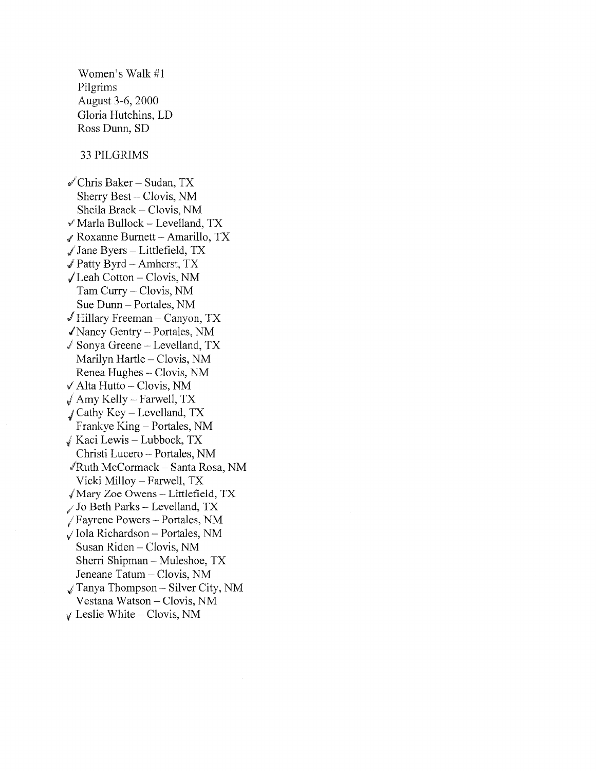Women's Walk #1 Pilgrims August 3-6, 2000 Gloria Hutchins, LD Ross Dunn, SD 33 PILGRIMS *,.,l* Chris Baker- Sudan, TX Sherry Best- Clovis, NM Sheila Brack- Clovis, NM *,\_t* Marla Bullock- Levelland, TX  $\mathcal J$  Roxanne Burnett - Amarillo, TX  $\sqrt{J}$  Jane Byers – Littlefield, TX  $\sqrt{P}$  Patty Byrd – Amherst, TX  $\sqrt{}$  Leah Cotton – Clovis, NM Tam Curry - Clovis, NM Sue Dunn- Portales, NM  $\checkmark$  Hillary Freeman – Canyon, TX /Nancy Gentry- Portales, NM  $\angle$  Sonya Greene – Levelland, TX Marilyn Hartle - Clovis, NM Renea Hughes - Clovis, NM  $\sqrt{4}$ lta Hutto - Clovis, NM  $\sqrt{A}$  Amy Kelly – Farwell, TX  $J$  Cathy Key – Levelland, TX Frankye King – Portales, NM  $\sqrt{x}$  Kaci Lewis - Lubbock, TX Christi Lucero - Portales, NM /Ruth McCormack - Santa Rosa, NM Vicki Milloy- Farwell, TX  $\sqrt{M}$ ary Zoe Owens - Littlefield, TX */* J o Beth Parks - Levelland, TX 1 Fayrene Powers- Portales, NM  $\sqrt{}$ Iola Richardson – Portales, NM Susan Riden - Clovis, NM Sherri Shipman - Muleshoe, TX Jeneane Tatum- Clovis, NM  $\sqrt{x}$  Tanya Thompson – Silver City, NM Vestana Watson - Clovis, NM

 $\sqrt{\ }$  Leslie White – Clovis, NM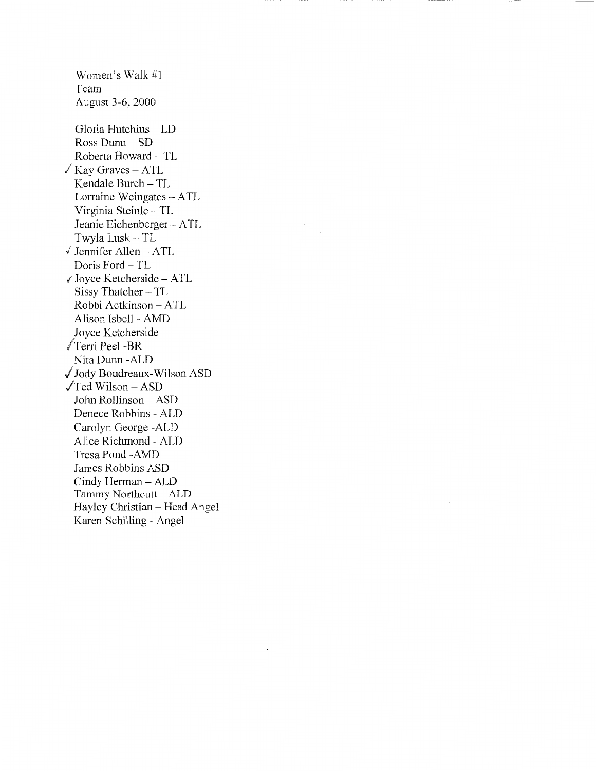Women's Walk #1 Team August 3-6, 2000 Gloria Hutchins- LD Ross Dunn- SD Roberta Howard- TL  $\sqrt{Kay}$  Graves – ATL Kendale Burch - TL Lorraine Weingates - ATL Virginia Steinle- TL Jeanie Eichenberger- ATL Twyla Lusk - TL  $\checkmark$  Jennifer Allen - ATL Doris Ford - TL t Joyce Ketcherside- ATL Sissy Thatcher- TL Robbi Actkinson- ATL Alison Isbell - AMD Joyce Ketcherside √Terri Peel -BR Nita Dunn -ALD / Jody Boudreaux-Wilson ASD  $\sqrt{\text{Ted}}$  Wilson – ASD John Rollinson- ASD Denece Robbins- ALD Carolyn George -ALD Alice Richmond - ALD Tresa Pond -AMD James Robbins ASD Cindy Herman - ALD Tammy Northcutt- ALD Hayley Christian - Head Angel Karen Schilling - Angel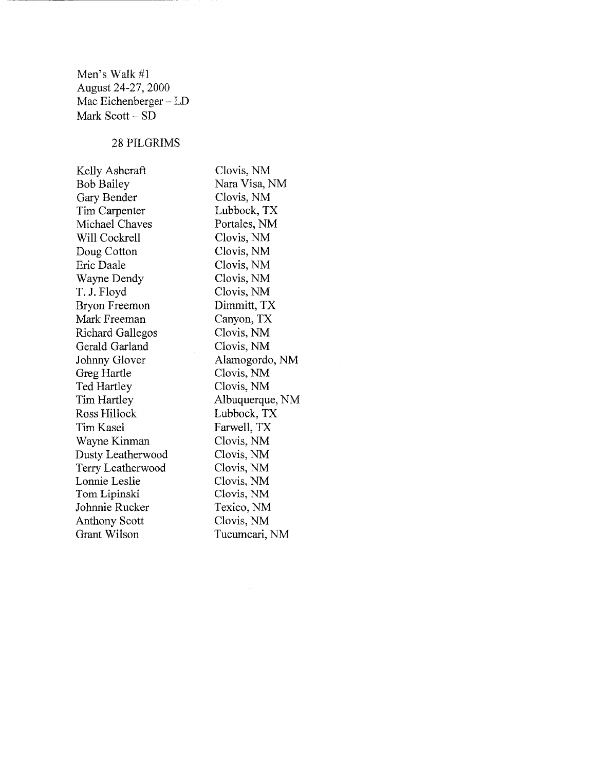Men's Walk #1 August 24-27, 2000 Mac Eichenberger- LD Mark Scott - SD

## 28 PILGRIMS

Kelly Ashcraft Bob Bailey Gary Bender Tim Carpenter Michael Chaves Will Cockrell Doug Cotton Eric Daale Wayne Dendy T. J. Floyd Bryon Freemon Mark Freeman Richard Gallegos Gerald Garland Johnny Glover Greg Hartle Ted Hartley Tim Hartley Ross Hillock Tim Kasel Wayne Kinman Dusty Leatherwood Terry Leatherwood Lonnie Leslie Tom Lipinski Johnnie Rucker Anthony Scott Grant Wilson

Clovis, NM Nara Visa, NM Clovis, NM Lubbock, TX Portales, NM Clovis, NM Clovis, NM Clovis, NM Clovis, NM Clovis, NM Dimmitt, TX Canyon, TX Clovis, NM Clovis, NM Alamogordo, NM Clovis, NM Clovis, NM Albuquerque, NM Lubbock, TX Farwell, TX Clovis, NM Clovis, NM Clovis, NM Clovis, NM Clovis, NM Texico, NM Clovis, NM Tucumcari, NM